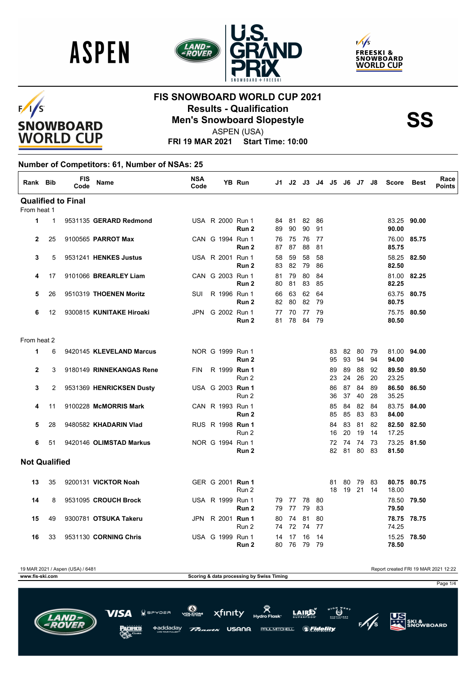





#### $F/I/S$ **SNOWBOARD WORLD CUP**

#### **FIS SNOWBOARD WORLD CUP 2021 Results - Qualification<br>Men's Snowboard Slopestyle<br>ASPEN (USA)**



ASPEN (USA)

**FRI 19 MAR 2021 Start Time: 10:00**

#### **Number of Competitors: 61, Number of NSAs: 25**

| Rank Bib             |              | <b>FIS</b><br>Code        | Name                     | <b>NSA</b><br>Code |                  | YB Run           | J1.      | J2.         | J3.      | J4       | J5.      | - J6     | J7 -     | J8           | <b>Score</b>   | <b>Best</b> | Race<br><b>Points</b> |
|----------------------|--------------|---------------------------|--------------------------|--------------------|------------------|------------------|----------|-------------|----------|----------|----------|----------|----------|--------------|----------------|-------------|-----------------------|
|                      |              | <b>Qualified to Final</b> |                          |                    |                  |                  |          |             |          |          |          |          |          |              |                |             |                       |
| From heat 1          |              |                           |                          |                    |                  |                  |          |             |          |          |          |          |          |              |                |             |                       |
| $\mathbf{1}$         | $\mathbf{1}$ |                           | 9531135 GERARD Redmond   |                    | USA R 2000 Run 1 | Run <sub>2</sub> | 89       | 84 81<br>90 | 82<br>90 | 86<br>91 |          |          |          |              | 90.00          | 83.25 90.00 |                       |
| $\mathbf{2}$         | 25           |                           | 9100565 PARROT Max       |                    | CAN G 1994 Run 1 | Run <sub>2</sub> | 87       | 76 75<br>87 | 76<br>88 | 77<br>81 |          |          |          |              | 85.75          | 76.00 85.75 |                       |
| 3                    | 5            |                           | 9531241 HENKES Justus    |                    | USA R 2001 Run 1 | Run 2            | 58<br>83 | 59<br>82    | 58<br>79 | 58<br>86 |          |          |          |              | 58.25<br>82.50 | 82.50       |                       |
| 4                    | 17           |                           | 9101066 BREARLEY Liam    |                    | CAN G 2003 Run 1 | Run <sub>2</sub> | 81<br>80 | 79<br>81    | 80<br>83 | 84<br>85 |          |          |          |              | 82.25          | 81.00 82.25 |                       |
| 5                    | 26           |                           | 9510319 THOENEN Moritz   | SUI                | R 1996 Run 1     | Run 2            | 66<br>82 | 63<br>80    | 62<br>82 | 64<br>79 |          |          |          |              | 80.75          | 63.75 80.75 |                       |
| 6                    | 12           |                           | 9300815 KUNITAKE Hiroaki | <b>JPN</b>         | G 2002 Run 1     | Run 2            | 77<br>81 | 70<br>78    | 77<br>84 | 79<br>79 |          |          |          |              | 75.75<br>80.50 | 80.50       |                       |
| From heat 2          |              |                           |                          |                    |                  |                  |          |             |          |          |          |          |          |              |                |             |                       |
| $\mathbf{1}$         | 6            |                           | 9420145 KLEVELAND Marcus |                    | NOR G 1999 Run 1 | Run <sub>2</sub> |          |             |          |          | 83<br>95 | 82<br>93 | 80<br>94 | - 79<br>94   | 94.00          | 81.00 94.00 |                       |
| $\mathbf{2}$         | 3            |                           | 9180149 RINNEKANGAS Rene | <b>FIN</b>         | R 1999 Run 1     | Run 2            |          |             |          |          | 89<br>23 | 89<br>24 | 88<br>26 | 92<br>20     | 89.50<br>23.25 | 89.50       |                       |
| 3                    | 2            |                           | 9531369 HENRICKSEN Dusty |                    | USA G 2003 Run 1 | Run 2            |          |             |          |          | 86<br>36 | 87<br>37 | 84<br>40 | 89<br>28     | 86.50<br>35.25 | 86.50       |                       |
| 4                    | 11           |                           | 9100228 McMORRIS Mark    |                    | CAN R 1993 Run 1 | Run 2            |          |             |          |          | 85<br>85 | 84<br>85 | 82<br>83 | 84<br>83     | 83.75<br>84.00 | 84.00       |                       |
| 5                    | 28           |                           | 9480582 KHADARIN Vlad    |                    | RUS R 1998 Run 1 | Run 2            |          |             |          |          | 84<br>16 | 83<br>20 | 81<br>19 | 82<br>14     | 82.50<br>17.25 | 82.50       |                       |
| 6                    | 51           |                           | 9420146 OLIMSTAD Markus  |                    | NOR G 1994 Run 1 | Run 2            |          |             |          |          | 72<br>82 | 74<br>81 | 74<br>80 | 73<br>83     | 73.25<br>81.50 | 81.50       |                       |
| <b>Not Qualified</b> |              |                           |                          |                    |                  |                  |          |             |          |          |          |          |          |              |                |             |                       |
| 13                   | 35           |                           | 9200131 VICKTOR Noah     |                    | GER G 2001 Run 1 | Run 2            |          |             |          |          | 81<br>18 | 80<br>19 | 79       | -83<br>21 14 | 18.00          | 80.75 80.75 |                       |
| 14                   | 8            |                           | 9531095 CROUCH Brock     |                    | USA R 1999 Run 1 | Run <sub>2</sub> | 79<br>79 | - 77<br>77  | 78<br>79 | 80<br>83 |          |          |          |              | 78.50<br>79.50 | 79.50       |                       |
| 15                   | 49           |                           | 9300781 OTSUKA Takeru    | JPN                | R 2001 Run 1     | Run 2            | 80<br>74 | 74<br>72    | 81<br>74 | 80<br>77 |          |          |          |              | 74.25          | 78.75 78.75 |                       |
| 16                   | 33           |                           | 9531130 CORNING Chris    |                    | USA G 1999 Run 1 | Run 2            | 14<br>80 | 17<br>76    | 16<br>79 | 14<br>79 |          |          |          |              | 15.25<br>78.50 | 78.50       |                       |

19 MAR 2021 / Aspen (USA) / 6481 Report created FRI 19 MAR 2021 12:22 **WWW.fis-ski.com Scoring & data processing by Swiss Timing** Page 1/4 $\bigcirc$  is  $\bigcirc$  is  $\bigcirc$ xfinity  $PDEB$ **US**<br>ATT SKI &<br>SNOWBOARD \*addaday USANA **PAUL MITCHELL & Fidelity**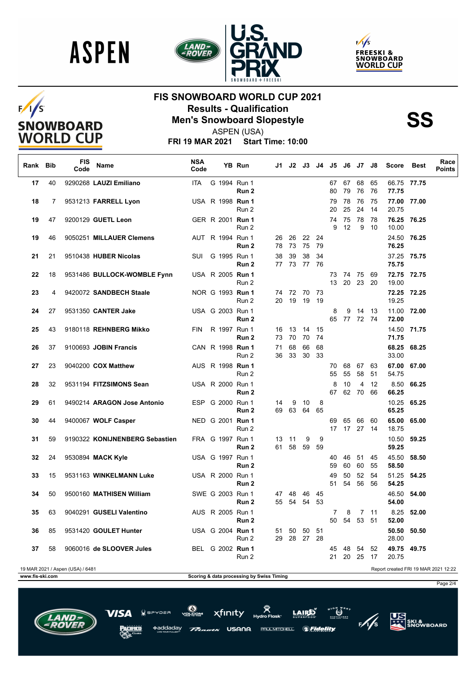





# $F/I/S$ SNOWBOARD<br>WORLD CUP

### **FIS SNOWBOARD WORLD CUP 2021 Results - Qualification<br>Men's Snowboard Slopestyle<br>ASPEN (USA)**



ASPEN (USA)

**FRI 19 MAR 2021 Start Time: 10:00**

| Rank Bib        |    | FIS<br>Code                      | Name                           | <b>NSA</b><br>Code |                         | YB Run                                    | J1.      |                |                | J2 J3 J4 J5 J6 |                |                | J7             | J8                      | Score                                | Best       | Race<br><b>Points</b> |
|-----------------|----|----------------------------------|--------------------------------|--------------------|-------------------------|-------------------------------------------|----------|----------------|----------------|----------------|----------------|----------------|----------------|-------------------------|--------------------------------------|------------|-----------------------|
| 17              | 40 |                                  | 9290268 LAUZI Emiliano         | ITA.               | G 1994 Run 1            | Run 2                                     |          |                |                |                | 80             | 67 67<br>79    | 68<br>76       | 65<br>76                | 66.75 77.75<br>77.75                 |            |                       |
| 18              | 7  |                                  | 9531213 FARRELL Lyon           |                    | USA R 1998 Run 1        | Run 2                                     |          |                |                |                | 79<br>20       | 78<br>25       | 76<br>24       | 75<br>14                | 77.00<br>20.75                       | 77.00      |                       |
| 19              | 47 |                                  | 9200129 GUETL Leon             |                    | GER R 2001 Run 1        | Run 2                                     |          |                |                |                | 74<br>9        | 75<br>12       | 78<br>9        | 78<br>10                | 76.25<br>10.00                       | 76.25      |                       |
| 19              | 46 |                                  | 9050251 MILLAUER Clemens       |                    | AUT R 1994 Run 1        | Run 2                                     | 26<br>78 | 26<br>73       | 22<br>75       | 24<br>79       |                |                |                |                         | 24.50<br>76.25                       | 76.25      |                       |
| 21              | 21 |                                  | 9510438 HUBER Nicolas          | SUI                | G 1995 Run 1            | Run 2                                     | 38       | 39<br>77 73    | 38<br>77       | 34<br>76       |                |                |                |                         | 37.25 75.75<br>75.75                 |            |                       |
| 22              | 18 |                                  | 9531486 BULLOCK-WOMBLE Fynn    |                    | USA R 2005 Run 1        | Run 2                                     |          |                |                |                | 73<br>13       | 74 75<br>20    | 23             | 69<br>20                | 72.75 72.75<br>19.00                 |            |                       |
| 23              | 4  |                                  | 9420072 SANDBECH Staale        |                    | NOR G 1993 Run 1        | Run 2                                     | 20       | 74 72 70<br>19 | 19             | -73<br>19      |                |                |                |                         | 72.25 72.25<br>19.25                 |            |                       |
| 24              | 27 |                                  | 9531350 CANTER Jake            |                    | USA G 2003 Run 1        | Run 2                                     |          |                |                |                | 8<br>65        | 9              | 14<br>77 72 74 | - 13                    | 11.00<br>72.00                       | 72.00      |                       |
| 25              | 43 |                                  | 9180118 REHNBERG Mikko         | <b>FIN</b>         | R 1997 Run 1            | Run 2                                     | 16<br>73 | - 13<br>70     | 14<br>70       | 15<br>74       |                |                |                |                         | 14.50 71.75<br>71.75                 |            |                       |
| 26              | 37 |                                  | 9100693 JOBIN Francis          |                    | CAN R 1998 Run 1        | Run 2                                     | 71<br>36 | 68<br>33       | 66<br>30       | 68<br>33       |                |                |                |                         | 68.25<br>33.00                       | 68.25      |                       |
| 27              | 23 |                                  | 9040200 COX Matthew            |                    | AUS R 1998 <b>Run 1</b> | Run 2                                     |          |                |                |                | 70<br>55       | 68<br>55       | 67<br>58       | 63<br>51                | 67.00 67.00<br>54.75                 |            |                       |
| 28              | 32 |                                  | 9531194 FITZSIMONS Sean        |                    | USA R 2000 Run 1        | Run 2                                     |          |                |                |                | 8<br>67        | 10             | 4<br>62 70     | $12 \overline{ }$<br>66 | 8.50<br>66.25                        | 66.25      |                       |
| 29              | 61 |                                  | 9490214 ARAGON Jose Antonio    |                    | ESP G 2000 Run 1        | Run 2                                     | 14<br>69 | 9<br>63        | 10<br>64       | 8<br>65        |                |                |                |                         | 10.25<br>65.25                       | 65.25      |                       |
| 30              | 44 |                                  | 9400067 WOLF Casper            |                    | NED G 2001 Run 1        | Run 2                                     |          |                |                |                | 69<br>17       | 65             | 66<br>17 27 14 | 60                      | 65.00<br>18.75                       | 65.00      |                       |
| 31              | 59 |                                  | 9190322 KONIJNENBERG Sebastien |                    | FRA G 1997 Run 1        | Run 2                                     | 61       | 13 11<br>58    | 9<br>59        | 9<br>59        |                |                |                |                         | 10.50<br>59.25                       | 59.25      |                       |
| 32              | 24 |                                  | 9530894 MACK Kyle              |                    | USA G 1997 Run 1        | Run 2                                     |          |                |                |                | 40<br>59       | 46<br>60       | 51<br>60       | 45<br>55                | 45.50<br>58.50                       | 58.50      |                       |
| 33              | 15 |                                  | 9531163 WINKELMANN Luke        |                    | USA R 2000 Run 1        | Run 2                                     |          |                |                |                | 49<br>51       | 50<br>54       | 52<br>56 56    | 54                      | 51.25<br>54.25                       | 54.25      |                       |
| 34              | 50 |                                  | 9500160 MATHISEN William       |                    | SWE G 2003 Run 1        | Run 2                                     | 47<br>55 | 48<br>54       | -46<br>54      | 45<br>53       |                |                |                |                         | 46.50<br>54.00                       | 54.00      |                       |
| 35              | 63 |                                  | 9040291 GUSELI Valentino       |                    | AUS R 2005 Run 1        | Run 2                                     |          |                |                |                | $\overline{7}$ | 8              | 50 54 53 51    | 7 11                    | 52.00                                | 8.25 52.00 |                       |
| 36              | 85 |                                  | 9531420 GOULET Hunter          |                    | USA G 2004 <b>Run 1</b> | Run 2                                     | 51<br>29 | 50             | 50<br>28 27 28 | 51             |                |                |                |                         | 50.50<br>28.00                       | 50.50      |                       |
| 37              | 58 |                                  | 9060016 de SLOOVER Jules       |                    | BEL G 2002 Run 1        | Run 2                                     |          |                |                |                | 21             | 45 48<br>20 25 | 54             | 52<br>17                | 49.75 49.75<br>20.75                 |            |                       |
| www.fis-ski.com |    | 19 MAR 2021 / Aspen (USA) / 6481 |                                |                    |                         | Scoring & data processing by Swiss Timing |          |                |                |                |                |                |                |                         | Report created FRI 19 MAR 2021 12:22 |            |                       |

USANA

PAUL MITCHELL.

xfinity

 $PDEB$ 

\*addadav

 $\bigotimes_{n=1}^{n}$ **AIRE** *SFidelity* 



Page 2/4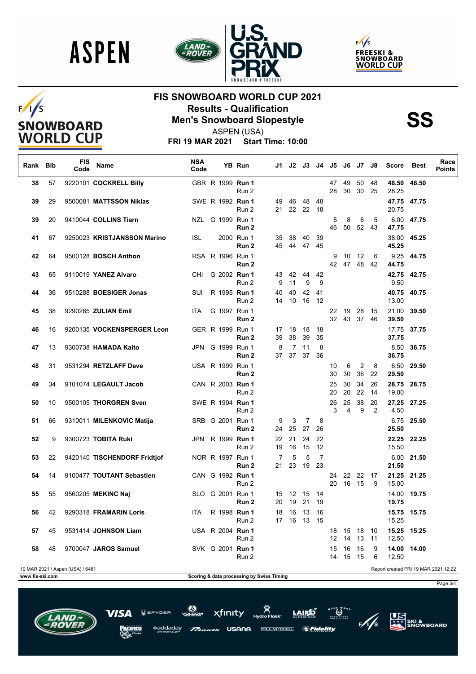





# $F/I/S$ SNOWBOARD<br>WORLD CUP

### **FIS SNOWBOARD WORLD CUP 2021 Results - Qualification<br>Men's Snowboard Slopestyle<br>ASPEN (USA)**

ASPEN (USA)

**FRI 19 MAR 2021 Start Time: 10:00**

| Rank Bib        |         | FIS<br>Code                      | Name                                                | <b>NSA</b><br>Code | YB Run                                        | J1.                                       | J2.            | J3 J4 J5 J6 J7       |                            |          |          |             | J8       | Score                        | <b>Best</b> | Race<br><b>Points</b>                |
|-----------------|---------|----------------------------------|-----------------------------------------------------|--------------------|-----------------------------------------------|-------------------------------------------|----------------|----------------------|----------------------------|----------|----------|-------------|----------|------------------------------|-------------|--------------------------------------|
| 38              | 57      |                                  | 9220101 COCKRELL Billy                              |                    | GBR R 1999 Run 1<br>Run 2                     |                                           |                |                      |                            | 47<br>28 | 49<br>30 | 50<br>30    | 48<br>25 | 48.50<br>28.25               | 48.50       |                                      |
| 39              | 29      |                                  | 9500081 MATTSSON Niklas                             |                    | SWE R 1992 Run 1<br>Run 2                     | 49                                        | 46<br>21 22 22 | 48                   | 48<br>-18                  |          |          |             |          | 47.75 47.75<br>20.75         |             |                                      |
| 39              | 20      |                                  | 9410044 COLLINS Tiarn                               |                    | NZL G 1999 Run 1<br>Run 2                     |                                           |                |                      |                            | 5<br>46  | 8<br>50  | 6<br>52 43  | 5        | 47.75                        | 6.00 47.75  |                                      |
| 41              | 67      |                                  | 9250023 KRISTJANSSON Marino                         | <b>ISL</b>         | 2000 Run 1<br>Run 2                           | 35                                        | 38<br>45 44    | 40<br>47             | 39<br>45                   |          |          |             |          | 38.00<br>45.25               | 45.25       |                                      |
| 42              | 64      |                                  | 9500128 <b>BOSCH Anthon</b>                         |                    | RSA R 1996 Run 1<br>Run 2                     |                                           |                |                      |                            | 9<br>42  | 10<br>47 | 12<br>48    | 6<br>42  | 9.25<br>44.75                | 44.75       |                                      |
| 43              | 65      |                                  | 9110019 YANEZ Alvaro                                | CHI                | G 2002 Run 1<br>Run 2                         | 43<br>9                                   | 42<br>11       | 44<br>9              | 42<br>9                    |          |          |             |          | 42.75 42.75<br>9.50          |             |                                      |
| 44              | 36      |                                  | 9510288 BOESIGER Jonas                              | SUI                | R 1995 Run 1<br>Run 2                         | 40<br>14                                  | 40<br>10       | 42<br>16             | 41<br>12                   |          |          |             |          | 40.75 40.75<br>13.00         |             |                                      |
| 45              | 38      |                                  | 9290265 ZULIAN Emil                                 | ITA.               | G 1997 Run 1<br>Run 2                         |                                           |                |                      |                            | 22<br>32 | 19<br>43 | 28<br>37 46 | - 15     | 21.00<br>39.50               | 39.50       |                                      |
| 46              | 16      |                                  | 9200135 VOCKENSPERGER Leon                          |                    | GER R 1999 Run 1<br>Run 2                     | 17<br>39                                  | 18<br>38       | 18<br>39             | 18<br>35                   |          |          |             |          | 17.75 37.75<br>37.75         |             |                                      |
| 47              | 13      |                                  | 9300738 HAMADA Kaito                                |                    | JPN G 1999 Run 1<br>Run <sub>2</sub>          | 8                                         | 7<br>37 37     | 11<br>37             | 8<br>36                    |          |          |             |          | 8.50<br>36.75                | 36.75       |                                      |
| 48              | 31      |                                  | 9531294 RETZLAFF Dave                               |                    | USA R 1999 Run 1<br>Run 2                     |                                           |                |                      |                            | 10<br>30 | 6<br>30  | 2<br>36     | 8<br>22  | 6.50<br>29.50                | 29.50       |                                      |
| 49              | 34      |                                  | 9101074 LEGAULT Jacob                               |                    | CAN R 2003 Run 1<br>Run 2                     |                                           |                |                      |                            | 25<br>20 | 30<br>20 | 34<br>22    | 26<br>14 | 28.75 28.75<br>19.00         |             |                                      |
| 50              | 10      |                                  | 9500105 THORGREN Sven                               |                    | SWE R 1994 Run 1<br>Run 2                     |                                           |                |                      |                            | 26<br>3  | 25<br>4  | 38<br>9     | 20<br>2  | 27.25<br>4.50                | 27.25       |                                      |
| 51              | 66<br>9 |                                  | 9310011 MILENKOVIC Matija                           |                    | SRB G 2001 Run 1<br>Run 2                     | 9<br>24                                   | 3<br>25        | $\overline{7}$<br>27 | 8<br>26                    |          |          |             |          | 6.75<br>25.50                | 25.50       |                                      |
| 52<br>53        | 22      |                                  | 9300723 TOBITA Ruki<br>9420140 TISCHENDORF Fridtjof |                    | JPN R 1999 Run 1<br>Run 2<br>NOR R 1997 Run 1 | 22<br>19<br>7                             | 21<br>16<br>5  | 24<br>15<br>5        | 22<br>12<br>$\overline{7}$ |          |          |             |          | 22.25 22.25<br>15.50<br>6.00 | 21.50       |                                      |
| 54              | 14      |                                  | 9100477 TOUTANT Sebastien                           |                    | Run 2<br>CAN G 1992 Run 1                     | 21                                        | 23             | 19                   | 23                         | 24       | 22       | 22          | 17       | 21.50<br>21.25               | 21.25       |                                      |
| 55              | 55      |                                  | 9560205 MEKINC Naj                                  |                    | Run 2<br>SLO G 2001 Run 1                     |                                           | 15 12          | - 15                 | 14                         | 20       | 16       | - 15        | 9        | 15.00<br>14.00               | 19.75       |                                      |
| 56              | 42      |                                  | 9290318 FRAMARIN Loris                              | ITA                | Run 2<br>R 1998 Run 1                         | 20<br>18                                  | 19<br>16       | 21<br>- 13           | 19<br>16                   |          |          |             |          | 19.75<br>15.75 15.75         |             |                                      |
| 57              | 45      |                                  | 9531414 JOHNSON Liam                                |                    | Run 2<br>USA R 2004 <b>Run 1</b>              |                                           |                | 17  16  13  15       |                            | 18       | - 15     | 18          | 10       | 15.25<br>15.25               | 15.25       |                                      |
|                 |         |                                  |                                                     |                    | Run 2                                         |                                           |                |                      |                            | 12       | 14       | 13          | 11       | 12.50                        |             |                                      |
| 58              | 48      |                                  | 9700047 JAROS Samuel                                |                    | SVK G 2001 Run 1<br>Run 2                     |                                           |                |                      |                            | 15<br>14 | 16<br>15 | 16<br>15    | 9<br>6   | 14.00<br>12.50               | 14.00       |                                      |
|                 |         | 19 MAR 2021 / Aspen (USA) / 6481 |                                                     |                    |                                               |                                           |                |                      |                            |          |          |             |          |                              |             | Report created FRI 19 MAR 2021 12:22 |
| www.fis-ski.com |         |                                  |                                                     |                    |                                               | Scoring & data processing by Swiss Timing |                |                      |                            |          |          |             |          |                              |             |                                      |

**USANA** 

xfinity

 $7DER$ 

\*addadav



**US**<br>XXX SKI &<br>SNOWBOARD

 $\bigotimes_{n=1}^{n}$ 

AIDÊ

**PAUL MITCHELL & Fidelity** 

Page 3/4